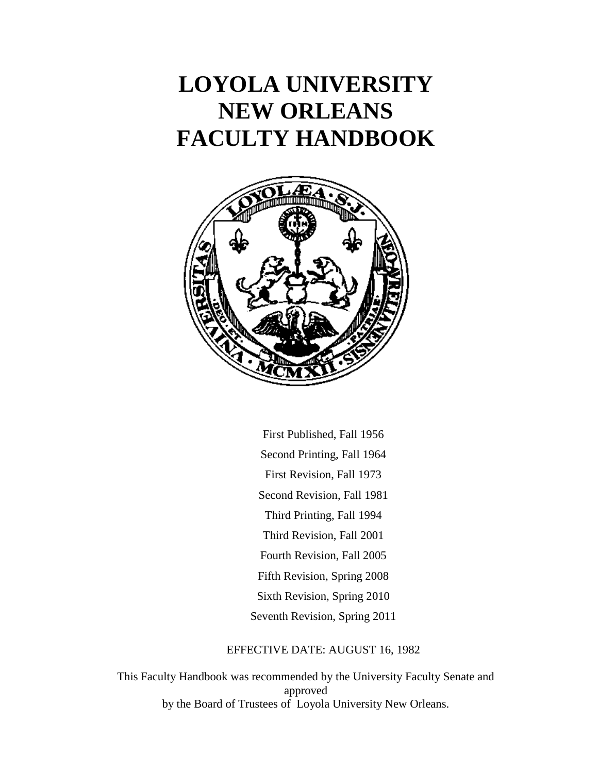# **LOYOLA UNIVERSITY NEW ORLEANS FACULTY HANDBOOK**



First Published, Fall 1956 Second Printing, Fall 1964 First Revision, Fall 1973 Second Revision, Fall 1981 Third Printing, Fall 1994 Third Revision, Fall 2001 Fourth Revision, Fall 2005 Fifth Revision, Spring 2008 Sixth Revision, Spring 2010 Seventh Revision, Spring 2011

#### EFFECTIVE DATE: AUGUST 16, 1982

This Faculty Handbook was recommended by the University Faculty Senate and approved by the Board of Trustees of Loyola University New Orleans.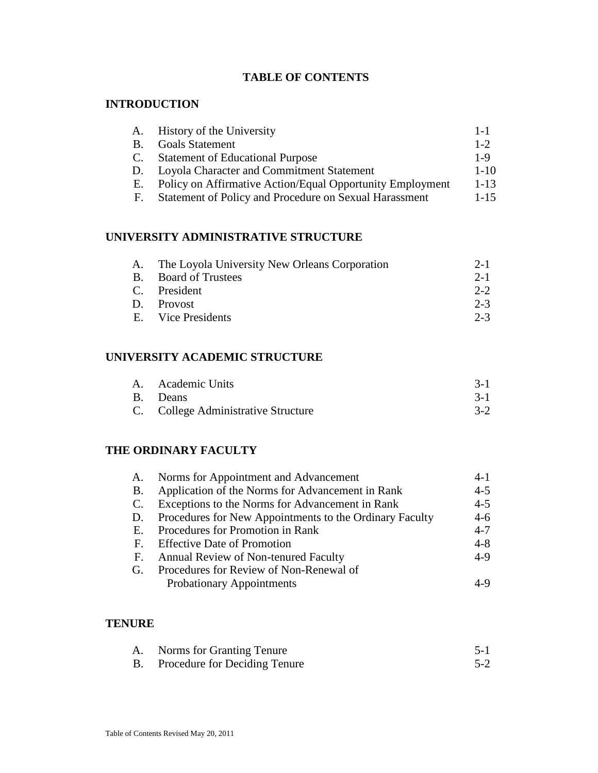# **TABLE OF CONTENTS**

# **INTRODUCTION**

| A.        | History of the University                                 | $1 - 1$  |
|-----------|-----------------------------------------------------------|----------|
| <b>B.</b> | <b>Goals Statement</b>                                    | $1 - 2$  |
| C.        | <b>Statement of Educational Purpose</b>                   | $1 - 9$  |
| D.        | Loyola Character and Commitment Statement                 | $1 - 10$ |
| Е.        | Policy on Affirmative Action/Equal Opportunity Employment | $1 - 13$ |
| F.        | Statement of Policy and Procedure on Sexual Harassment    | $1 - 15$ |

# **UNIVERSITY ADMINISTRATIVE STRUCTURE**

| A. The Loyola University New Orleans Corporation | $2 - 1$ |
|--------------------------------------------------|---------|
| B. Board of Trustees                             | $2 - 1$ |
| C. President                                     | $2 - 2$ |
| D. Provost                                       | $2 - 3$ |
| E. Vice Presidents                               | $2 - 3$ |
|                                                  |         |

# **UNIVERSITY ACADEMIC STRUCTURE**

| A. Academic Units                   |         |
|-------------------------------------|---------|
| B. Deans                            | $3 - 1$ |
| C. College Administrative Structure |         |

# **THE ORDINARY FACULTY**

| A.        | Norms for Appointment and Advancement                   | $4 - 1$ |
|-----------|---------------------------------------------------------|---------|
| <b>B.</b> | Application of the Norms for Advancement in Rank        | $4 - 5$ |
|           | C. Exceptions to the Norms for Advancement in Rank      | $4 - 5$ |
| D.        | Procedures for New Appointments to the Ordinary Faculty | $4-6$   |
| E.        | Procedures for Promotion in Rank                        | $4 - 7$ |
|           | F. Effective Date of Promotion                          | $4 - 8$ |
| E.        | Annual Review of Non-tenured Faculty                    | $4-9$   |
| G.        | Procedures for Review of Non-Renewal of                 |         |
|           | <b>Probationary Appointments</b>                        | 4-9     |

# **TENURE**

| А. | Norms for Granting Tenure               | $5-1$   |
|----|-----------------------------------------|---------|
|    | <b>B.</b> Procedure for Deciding Tenure | $5 - 2$ |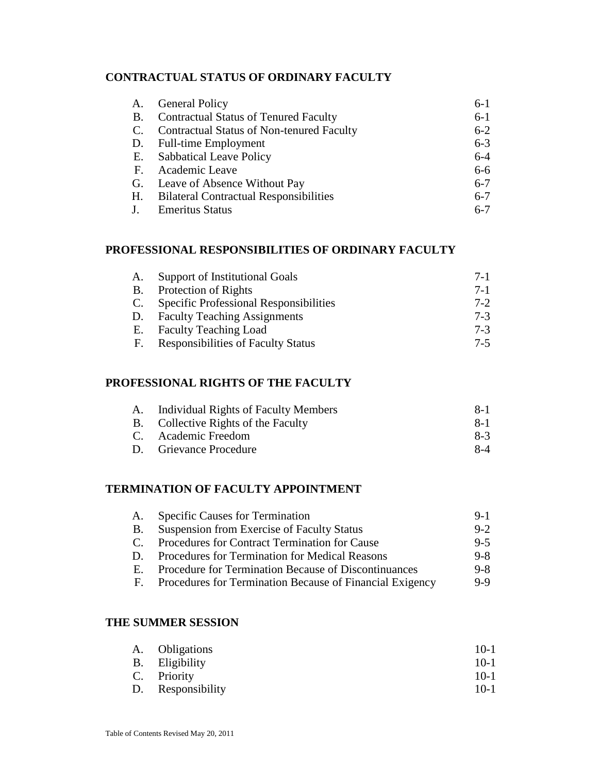# **CONTRACTUAL STATUS OF ORDINARY FACULTY**

| A.        | <b>General Policy</b>                            | $6-1$   |
|-----------|--------------------------------------------------|---------|
| <b>B.</b> | <b>Contractual Status of Tenured Faculty</b>     | $6-1$   |
| C.        | <b>Contractual Status of Non-tenured Faculty</b> | $6 - 2$ |
| D.        | <b>Full-time Employment</b>                      | $6 - 3$ |
|           | E. Sabbatical Leave Policy                       | $6 - 4$ |
| F.        | Academic Leave                                   | $6-6$   |
|           | G. Leave of Absence Without Pay                  | $6 - 7$ |
| H.        | <b>Bilateral Contractual Responsibilities</b>    | $6 - 7$ |
|           | <b>Emeritus Status</b>                           | $6 - 7$ |

## **PROFESSIONAL RESPONSIBILITIES OF ORDINARY FACULTY**

| A.        | Support of Institutional Goals                | $7-1$   |
|-----------|-----------------------------------------------|---------|
| <b>B.</b> | Protection of Rights                          | $7 - 1$ |
| C.        | <b>Specific Professional Responsibilities</b> | $7 - 2$ |
| D.        | <b>Faculty Teaching Assignments</b>           | $7-3$   |
| Е.        | <b>Faculty Teaching Load</b>                  | $7-3$   |
| F.        | <b>Responsibilities of Faculty Status</b>     | $7-5$   |

## **PROFESSIONAL RIGHTS OF THE FACULTY**

| A. Individual Rights of Faculty Members | $X-1$   |
|-----------------------------------------|---------|
| B. Collective Rights of the Faculty     | $R - 1$ |
| C. Academic Freedom                     | $8-3$   |
| D. Grievance Procedure                  | $8-4$   |

## **TERMINATION OF FACULTY APPOINTMENT**

| А.           | <b>Specific Causes for Termination</b>                   | $9-1$   |
|--------------|----------------------------------------------------------|---------|
| B.           | <b>Suspension from Exercise of Faculty Status</b>        | $9 - 2$ |
| $\mathbf{C}$ | Procedures for Contract Termination for Cause            | $9 - 5$ |
| D.           | Procedures for Termination for Medical Reasons           | $9 - 8$ |
| Е.           | Procedure for Termination Because of Discontinuances     | $9 - 8$ |
| F.           | Procedures for Termination Because of Financial Exigency | $9-9$   |
|              |                                                          |         |

#### **THE SUMMER SESSION**

| A. Obligations    | $10-1$ |
|-------------------|--------|
| B. Eligibility    | $10-1$ |
| C. Priority       | $10-1$ |
| D. Responsibility | $10-1$ |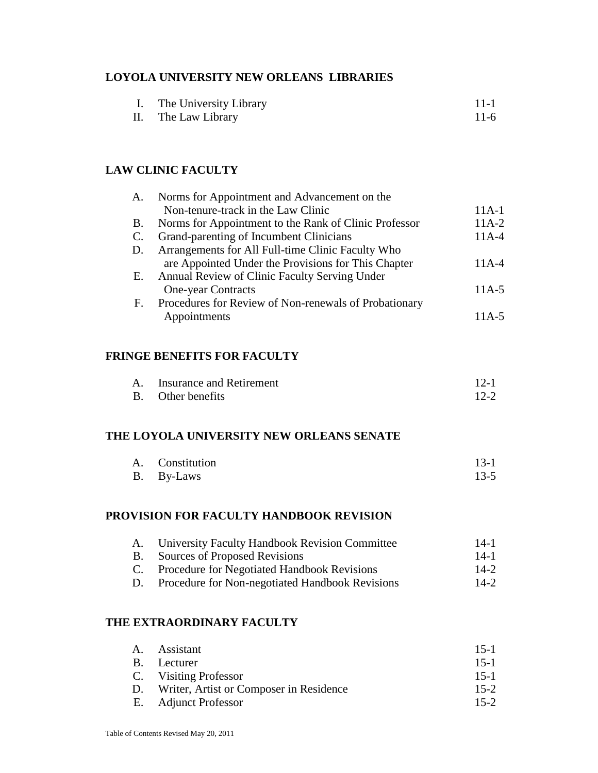## **LOYOLA UNIVERSITY NEW ORLEANS LIBRARIES**

|  | The University Library | $11 - 1$ |
|--|------------------------|----------|
|  |                        |          |

| П. | The Law Library |  | $11-6$ |  |  |
|----|-----------------|--|--------|--|--|
|----|-----------------|--|--------|--|--|

# **LAW CLINIC FACULTY**

| A.             | Norms for Appointment and Advancement on the          |          |
|----------------|-------------------------------------------------------|----------|
|                | Non-tenure-track in the Law Clinic                    | $11A-1$  |
| <b>B.</b>      | Norms for Appointment to the Rank of Clinic Professor | $11A-2$  |
| C.             | Grand-parenting of Incumbent Clinicians               | $11A-4$  |
| D.             | Arrangements for All Full-time Clinic Faculty Who     |          |
|                | are Appointed Under the Provisions for This Chapter   | $11A-4$  |
| Е.             | Annual Review of Clinic Faculty Serving Under         |          |
|                | <b>One-year Contracts</b>                             | $11A-5$  |
| F <sub>r</sub> | Procedures for Review of Non-renewals of Probationary |          |
|                | Appointments                                          | 11 A - 5 |

# **FRINGE BENEFITS FOR FACULTY**

| А. | Insurance and Retirement | $12-1$   |
|----|--------------------------|----------|
|    | B. Other benefits        | $12 - 2$ |

#### **THE LOYOLA UNIVERSITY NEW ORLEANS SENATE**

| A. Constitution | $13-1$ |
|-----------------|--------|
| B. By-Laws      | $13-5$ |

## **PROVISION FOR FACULTY HANDBOOK REVISION**

| A.        | <b>University Faculty Handbook Revision Committee</b> | $14-1$ |
|-----------|-------------------------------------------------------|--------|
| <b>B.</b> | Sources of Proposed Revisions                         | $14-1$ |
|           | C. Procedure for Negotiated Handbook Revisions        | $14-2$ |
| D.        | Procedure for Non-negotiated Handbook Revisions       | $14-2$ |

#### **THE EXTRAORDINARY FACULTY**

| A. Assistant                               | $15-1$   |
|--------------------------------------------|----------|
| B. Lecturer                                | $15-1$   |
| C. Visiting Professor                      | $15-1$   |
| D. Writer, Artist or Composer in Residence | $15-2$   |
| E. Adjunct Professor                       | $15 - 2$ |